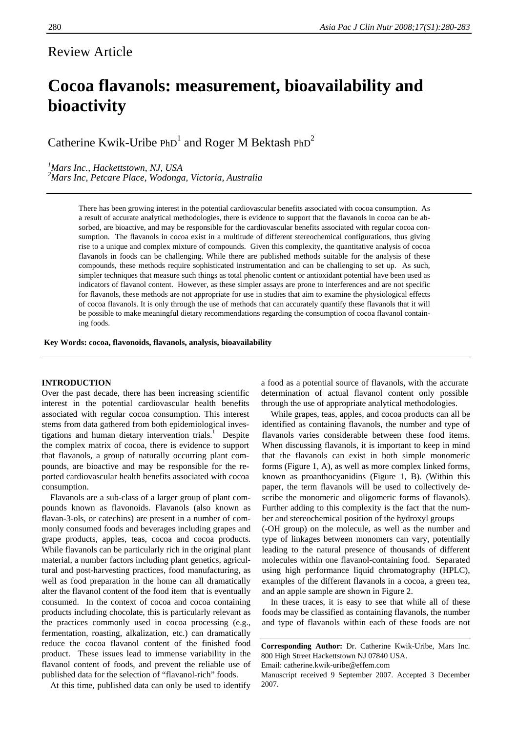## Review Article

# **Cocoa flavanols: measurement, bioavailability and bioactivity**

Catherine Kwik-Uribe  $PhD<sup>1</sup>$  and Roger M Bektash  $PhD<sup>2</sup>$ 

### *1 Mars Inc., Hackettstown, NJ, USA*

*2 Mars Inc, Petcare Place, Wodonga, Victoria, Australia* 

There has been growing interest in the potential cardiovascular benefits associated with cocoa consumption. As a result of accurate analytical methodologies, there is evidence to support that the flavanols in cocoa can be absorbed, are bioactive, and may be responsible for the cardiovascular benefits associated with regular cocoa consumption. The flavanols in cocoa exist in a multitude of different stereochemical configurations, thus giving rise to a unique and complex mixture of compounds. Given this complexity, the quantitative analysis of cocoa flavanols in foods can be challenging. While there are published methods suitable for the analysis of these compounds, these methods require sophisticated instrumentation and can be challenging to set up. As such, simpler techniques that measure such things as total phenolic content or antioxidant potential have been used as indicators of flavanol content. However, as these simpler assays are prone to interferences and are not specific for flavanols, these methods are not appropriate for use in studies that aim to examine the physiological effects of cocoa flavanols. It is only through the use of methods that can accurately quantify these flavanols that it will be possible to make meaningful dietary recommendations regarding the consumption of cocoa flavanol containing foods.

#### **Key Words: cocoa, flavonoids, flavanols, analysis, bioavailability**

#### **INTRODUCTION**

Over the past decade, there has been increasing scientific interest in the potential cardiovascular health benefits associated with regular cocoa consumption. This interest stems from data gathered from both epidemiological investigations and human dietary intervention trials.<sup>1</sup> Despite the complex matrix of cocoa, there is evidence to support that flavanols, a group of naturally occurring plant compounds, are bioactive and may be responsible for the reported cardiovascular health benefits associated with cocoa consumption.

Flavanols are a sub-class of a larger group of plant compounds known as flavonoids. Flavanols (also known as flavan-3-ols, or catechins) are present in a number of commonly consumed foods and beverages including grapes and grape products, apples, teas, cocoa and cocoa products. While flavanols can be particularly rich in the original plant material, a number factors including plant genetics, agricultural and post-harvesting practices, food manufacturing, as well as food preparation in the home can all dramatically alter the flavanol content of the food item that is eventually consumed. In the context of cocoa and cocoa containing products including chocolate, this is particularly relevant as the practices commonly used in cocoa processing (e.g., fermentation, roasting, alkalization, etc.) can dramatically reduce the cocoa flavanol content of the finished food product. These issues lead to immense variability in the flavanol content of foods, and prevent the reliable use of published data for the selection of "flavanol-rich" foods.

At this time, published data can only be used to identify

a food as a potential source of flavanols, with the accurate determination of actual flavanol content only possible through the use of appropriate analytical methodologies.

While grapes, teas, apples, and cocoa products can all be identified as containing flavanols, the number and type of flavanols varies considerable between these food items. When discussing flavanols, it is important to keep in mind that the flavanols can exist in both simple monomeric forms (Figure 1, A), as well as more complex linked forms, known as proanthocyanidins (Figure 1, B). (Within this paper, the term flavanols will be used to collectively describe the monomeric and oligomeric forms of flavanols). Further adding to this complexity is the fact that the number and stereochemical position of the hydroxyl groups (-OH group) on the molecule, as well as the number and

type of linkages between monomers can vary, potentially leading to the natural presence of thousands of different molecules within one flavanol-containing food. Separated using high performance liquid chromatography (HPLC), examples of the different flavanols in a cocoa, a green tea, and an apple sample are shown in Figure 2.

In these traces, it is easy to see that while all of these foods may be classified as containing flavanols, the number and type of flavanols within each of these foods are not

**Corresponding Author:** Dr. Catherine Kwik-Uribe, Mars Inc. 800 High Street Hackettstown NJ 07840 USA.

Email: catherine.kwik-uribe@effem.com

Manuscript received 9 September 2007. Accepted 3 December 2007.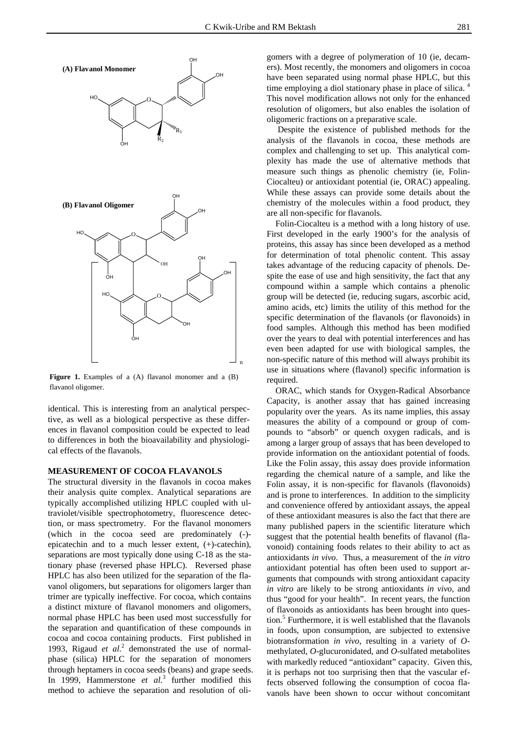

Figure 1. Examples of a (A) flavanol monomer and a (B) flavanol oligomer.

identical. This is interesting from an analytical perspective, as well as a biological perspective as these differences in flavanol composition could be expected to lead to differences in both the bioavailability and physiological effects of the flavanols.

#### **MEASUREMENT OF COCOA FLAVANOLS**

The structural diversity in the flavanols in cocoa makes their analysis quite complex. Analytical separations are typically accomplished utilizing HPLC coupled with ultraviolet/visible spectrophotometry, fluorescence detection, or mass spectrometry. For the flavanol monomers (which in the cocoa seed are predominately (-) epicatechin and to a much lesser extent, (+)-catechin), separations are most typically done using C-18 as the stationary phase (reversed phase HPLC). Reversed phase HPLC has also been utilized for the separation of the flavanol oligomers, but separations for oligomers larger than trimer are typically ineffective. For cocoa, which contains a distinct mixture of flavanol monomers and oligomers, normal phase HPLC has been used most successfully for the separation and quantification of these compounds in cocoa and cocoa containing products. First published in 1993, Rigaud et al.<sup>2</sup> demonstrated the use of normalphase (silica) HPLC for the separation of monomers through heptamers in cocoa seeds (beans) and grape seeds. In 1999, Hammerstone *et al.*<sup>3</sup> further modified this method to achieve the separation and resolution of oli-

gomers with a degree of polymeration of 10 (ie, decamers). Most recently, the monomers and oligomers in cocoa have been separated using normal phase HPLC, but this time employing a diol stationary phase in place of silica.  $\vdash$ This novel modification allows not only for the enhanced resolution of oligomers, but also enables the isolation of oligomeric fractions on a preparative scale.

 Despite the existence of published methods for the analysis of the flavanols in cocoa, these methods are complex and challenging to set up. This analytical complexity has made the use of alternative methods that measure such things as phenolic chemistry (ie, Folin-Ciocalteu) or antioxidant potential (ie, ORAC) appealing. While these assays can provide some details about the chemistry of the molecules within a food product, they are all non-specific for flavanols.

Folin-Ciocalteu is a method with a long history of use. First developed in the early 1900's for the analysis of proteins, this assay has since been developed as a method for determination of total phenolic content. This assay takes advantage of the reducing capacity of phenols. Despite the ease of use and high sensitivity, the fact that any compound within a sample which contains a phenolic group will be detected (ie, reducing sugars, ascorbic acid, amino acids, etc) limits the utility of this method for the specific determination of the flavanols (or flavonoids) in food samples. Although this method has been modified over the years to deal with potential interferences and has even been adapted for use with biological samples, the non-specific nature of this method will always prohibit its use in situations where (flavanol) specific information is required.

ORAC, which stands for Oxygen-Radical Absorbance Capacity, is another assay that has gained increasing popularity over the years. As its name implies, this assay measures the ability of a compound or group of compounds to "absorb" or quench oxygen radicals, and is among a larger group of assays that has been developed to provide information on the antioxidant potential of foods. Like the Folin assay, this assay does provide information regarding the chemical nature of a sample, and like the Folin assay, it is non-specific for flavanols (flavonoids) and is prone to interferences. In addition to the simplicity and convenience offered by antioxidant assays, the appeal of these antioxidant measures is also the fact that there are many published papers in the scientific literature which suggest that the potential health benefits of flavanol (flavonoid) containing foods relates to their ability to act as antioxidants *in vivo*. Thus, a measurement of the *in vitro* antioxidant potential has often been used to support arguments that compounds with strong antioxidant capacity *in vitro* are likely to be strong antioxidants *in vivo*, and thus "good for your health". In recent years, the function of flavonoids as antioxidants has been brought into question.<sup>5</sup> Furthermore, it is well established that the flavanols in foods, upon consumption, are subjected to extensive biotransformation *in vivo*, resulting in a variety of *O*methylated, *O*-glucuronidated, and *O*-sulfated metabolites with markedly reduced "antioxidant" capacity. Given this, it is perhaps not too surprising then that the vascular effects observed following the consumption of cocoa flavanols have been shown to occur without concomitant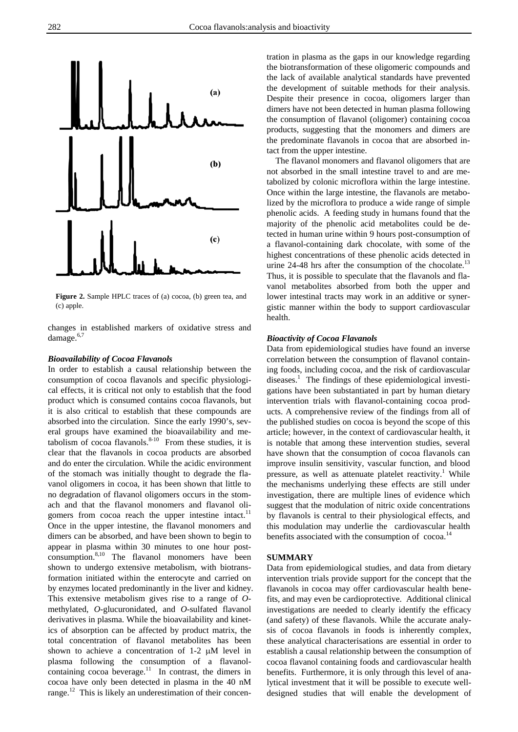

**Figure 2.** Sample HPLC traces of (a) cocoa, (b) green tea, and (c) apple.

changes in established markers of oxidative stress and damage.<sup>6,7</sup>

#### *Bioavailability of Cocoa Flavanols*

In order to establish a causal relationship between the consumption of cocoa flavanols and specific physiological effects, it is critical not only to establish that the food product which is consumed contains cocoa flavanols, but it is also critical to establish that these compounds are absorbed into the circulation. Since the early 1990's, several groups have examined the bioavailability and metabolism of cocoa flavanols. $8-10$  From these studies, it is clear that the flavanols in cocoa products are absorbed and do enter the circulation. While the acidic environment of the stomach was initially thought to degrade the flavanol oligomers in cocoa, it has been shown that little to no degradation of flavanol oligomers occurs in the stomach and that the flavanol monomers and flavanol oligomers from cocoa reach the upper intestine intact.<sup>11</sup> Once in the upper intestine, the flavanol monomers and dimers can be absorbed, and have been shown to begin to appear in plasma within 30 minutes to one hour postconsumption.<sup>8,10</sup> The flavanol monomers have been shown to undergo extensive metabolism, with biotransformation initiated within the enterocyte and carried on by enzymes located predominantly in the liver and kidney. This extensive metabolism gives rise to a range of *O*methylated, *O*-glucuronidated, and *O-*sulfated flavanol derivatives in plasma. While the bioavailability and kinetics of absorption can be affected by product matrix, the total concentration of flavanol metabolites has been shown to achieve a concentration of 1-2 μM level in plasma following the consumption of a flavanolcontaining cocoa beverage. $11$  In contrast, the dimers in cocoa have only been detected in plasma in the 40 nM range.<sup>12</sup> This is likely an underestimation of their concentration in plasma as the gaps in our knowledge regarding the biotransformation of these oligomeric compounds and the lack of available analytical standards have prevented the development of suitable methods for their analysis. Despite their presence in cocoa, oligomers larger than dimers have not been detected in human plasma following the consumption of flavanol (oligomer) containing cocoa products, suggesting that the monomers and dimers are the predominate flavanols in cocoa that are absorbed intact from the upper intestine.

The flavanol monomers and flavanol oligomers that are not absorbed in the small intestine travel to and are metabolized by colonic microflora within the large intestine. Once within the large intestine, the flavanols are metabolized by the microflora to produce a wide range of simple phenolic acids. A feeding study in humans found that the majority of the phenolic acid metabolites could be detected in human urine within 9 hours post-consumption of a flavanol-containing dark chocolate, with some of the highest concentrations of these phenolic acids detected in urine 24-48 hrs after the consumption of the chocolate.<sup>13</sup> Thus, it is possible to speculate that the flavanols and flavanol metabolites absorbed from both the upper and lower intestinal tracts may work in an additive or synergistic manner within the body to support cardiovascular health.

#### *Bioactivity of Cocoa Flavanols*

Data from epidemiological studies have found an inverse correlation between the consumption of flavanol containing foods, including cocoa, and the risk of cardiovascular diseases.<sup>1</sup> The findings of these epidemiological investigations have been substantiated in part by human dietary intervention trials with flavanol-containing cocoa products. A comprehensive review of the findings from all of the published studies on cocoa is beyond the scope of this article; however, in the context of cardiovascular health, it is notable that among these intervention studies, several have shown that the consumption of cocoa flavanols can improve insulin sensitivity, vascular function, and blood pressure, as well as attenuate platelet reactivity.<sup>1</sup> While the mechanisms underlying these effects are still under investigation, there are multiple lines of evidence which suggest that the modulation of nitric oxide concentrations by flavanols is central to their physiological effects, and this modulation may underlie the cardiovascular health benefits associated with the consumption of cocoa.<sup>14</sup>

#### **SUMMARY**

Data from epidemiological studies, and data from dietary intervention trials provide support for the concept that the flavanols in cocoa may offer cardiovascular health benefits, and may even be cardioprotective. Additional clinical investigations are needed to clearly identify the efficacy (and safety) of these flavanols. While the accurate analysis of cocoa flavanols in foods is inherently complex, these analytical characterisations are essential in order to establish a causal relationship between the consumption of cocoa flavanol containing foods and cardiovascular health benefits. Furthermore, it is only through this level of analytical investment that it will be possible to execute welldesigned studies that will enable the development of